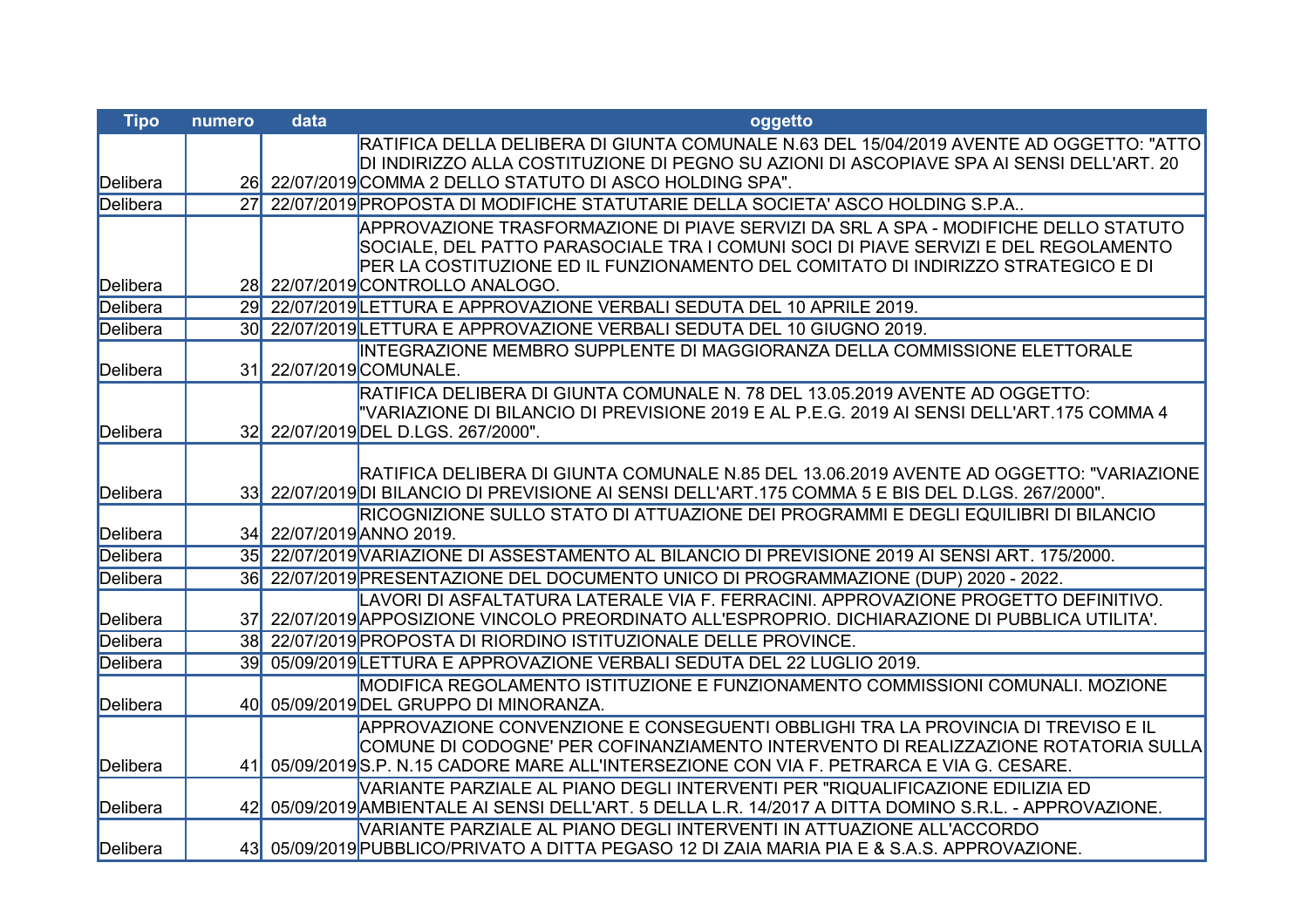| <b>Tipo</b> | numero          | data | oggetto                                                                                                                                                                                       |
|-------------|-----------------|------|-----------------------------------------------------------------------------------------------------------------------------------------------------------------------------------------------|
|             |                 |      | RATIFICA DELLA DELIBERA DI GIUNTA COMUNALE N.63 DEL 15/04/2019 AVENTE AD OGGETTO: "ATTO                                                                                                       |
|             |                 |      | DI INDIRIZZO ALLA COSTITUZIONE DI PEGNO SU AZIONI DI ASCOPIAVE SPA AI SENSI DELL'ART. 20                                                                                                      |
| Delibera    |                 |      | 26 22/07/2019 COMMA 2 DELLO STATUTO DI ASCO HOLDING SPA".                                                                                                                                     |
| Delibera    | 27              |      | 22/07/2019 PROPOSTA DI MODIFICHE STATUTARIE DELLA SOCIETA' ASCO HOLDING S.P.A.,                                                                                                               |
|             |                 |      | APPROVAZIONE TRASFORMAZIONE DI PIAVE SERVIZI DA SRL A SPA - MODIFICHE DELLO STATUTO                                                                                                           |
|             |                 |      | SOCIALE, DEL PATTO PARASOCIALE TRA I COMUNI SOCI DI PIAVE SERVIZI E DEL REGOLAMENTO<br>PER LA COSTITUZIONE ED IL FUNZIONAMENTO DEL COMITATO DI INDIRIZZO STRATEGICO E DI                      |
| Delibera    |                 |      | 28 22/07/2019 CONTROLLO ANALOGO.                                                                                                                                                              |
| Delibera    | 29              |      | 22/07/2019 LETTURA E APPROVAZIONE VERBALI SEDUTA DEL 10 APRILE 2019.                                                                                                                          |
| Delibera    | 30 <sup>l</sup> |      | 22/07/2019 LETTURA E APPROVAZIONE VERBALI SEDUTA DEL 10 GIUGNO 2019.                                                                                                                          |
|             |                 |      | INTEGRAZIONE MEMBRO SUPPLENTE DI MAGGIORANZA DELLA COMMISSIONE ELETTORALE                                                                                                                     |
| Delibera    | 31              |      | 22/07/2019 COMUNALE.                                                                                                                                                                          |
|             |                 |      | RATIFICA DELIBERA DI GIUNTA COMUNALE N. 78 DEL 13.05.2019 AVENTE AD OGGETTO:                                                                                                                  |
|             |                 |      | "VARIAZIONE DI BILANCIO DI PREVISIONE 2019 E AL P.E.G. 2019 AI SENSI DELL'ART.175 COMMA 4                                                                                                     |
| Delibera    |                 |      | 32 22/07/2019 DEL D.LGS. 267/2000".                                                                                                                                                           |
|             |                 |      |                                                                                                                                                                                               |
| Delibera    |                 |      | RATIFICA DELIBERA DI GIUNTA COMUNALE N.85 DEL 13.06.2019 AVENTE AD OGGETTO: "VARIAZIONE<br>33 22/07/2019 DI BILANCIO DI PREVISIONE AI SENSI DELL'ART. 175 COMMA 5 E BIS DEL D.LGS. 267/2000". |
|             |                 |      | RICOGNIZIONE SULLO STATO DI ATTUAZIONE DEI PROGRAMMI E DEGLI EQUILIBRI DI BILANCIO                                                                                                            |
| Delibera    |                 |      | 34 22/07/2019 ANNO 2019.                                                                                                                                                                      |
| Delibera    |                 |      | 35 22/07/2019 VARIAZIONE DI ASSESTAMENTO AL BILANCIO DI PREVISIONE 2019 AI SENSI ART. 175/2000.                                                                                               |
| Delibera    | 36 <sup>l</sup> |      | 22/07/2019 PRESENTAZIONE DEL DOCUMENTO UNICO DI PROGRAMMAZIONE (DUP) 2020 - 2022.                                                                                                             |
|             |                 |      | LAVORI DI ASFALTATURA LATERALE VIA F. FERRACINI. APPROVAZIONE PROGETTO DEFINITIVO.                                                                                                            |
| Delibera    | 37              |      | 22/07/2019 APPOSIZIONE VINCOLO PREORDINATO ALL'ESPROPRIO. DICHIARAZIONE DI PUBBLICA UTILITA'.                                                                                                 |
| Delibera    |                 |      | 38 22/07/2019 PROPOSTA DI RIORDINO ISTITUZIONALE DELLE PROVINCE.                                                                                                                              |
| Delibera    | 39 <sup>l</sup> |      | 05/09/2019 LETTURA E APPROVAZIONE VERBALI SEDUTA DEL 22 LUGLIO 2019.                                                                                                                          |
|             |                 |      | MODIFICA REGOLAMENTO ISTITUZIONE E FUNZIONAMENTO COMMISSIONI COMUNALI. MOZIONE                                                                                                                |
| Delibera    | 40 <sup> </sup> |      | 05/09/2019 DEL GRUPPO DI MINORANZA.                                                                                                                                                           |
|             |                 |      | APPROVAZIONE CONVENZIONE E CONSEGUENTI OBBLIGHI TRA LA PROVINCIA DI TREVISO E IL                                                                                                              |
|             |                 |      | ICOMUNE DI CODOGNE' PER COFINANZIAMENTO INTERVENTO DI REALIZZAZIONE ROTATORIA SULLA                                                                                                           |
| Delibera    |                 |      | 41 05/09/2019 S.P. N.15 CADORE MARE ALL'INTERSEZIONE CON VIA F. PETRARCA E VIA G. CESARE.                                                                                                     |
| Delibera    |                 |      | VARIANTE PARZIALE AL PIANO DEGLI INTERVENTI PER "RIQUALIFICAZIONE EDILIZIA ED<br>42 05/09/2019 AMBIENTALE AI SENSI DELL'ART. 5 DELLA L.R. 14/2017 A DITTA DOMINO S.R.L. - APPROVAZIONE.       |
|             |                 |      | VARIANTE PARZIALE AL PIANO DEGLI INTERVENTI IN ATTUAZIONE ALL'ACCORDO                                                                                                                         |
| Delibera    |                 |      | 43 05/09/2019 PUBBLICO/PRIVATO A DITTA PEGASO 12 DI ZAIA MARIA PIA E & S.A.S. APPROVAZIONE.                                                                                                   |
|             |                 |      |                                                                                                                                                                                               |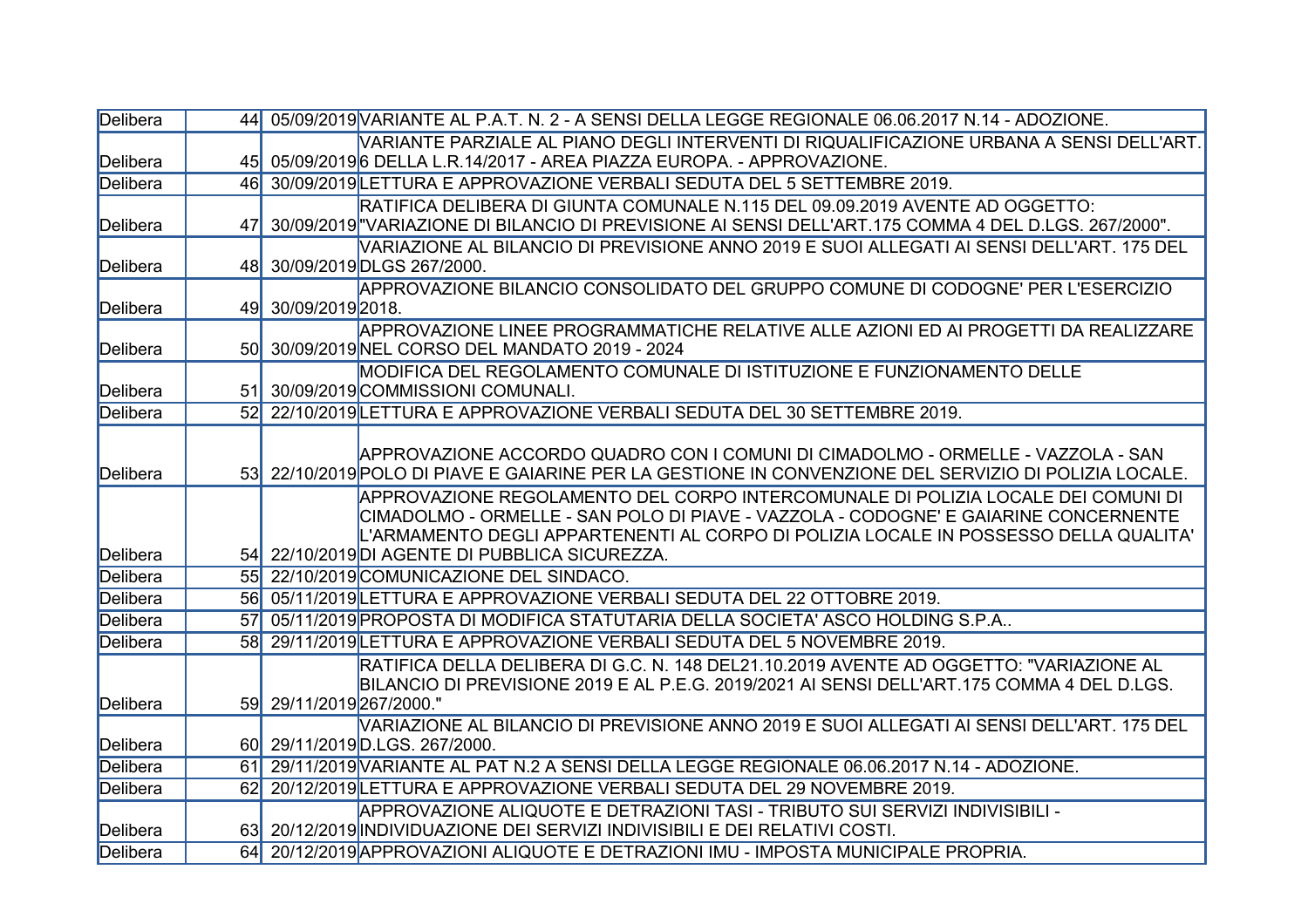| Delibera |           | 44 05/09/2019 VARIANTE AL P.A.T. N. 2 - A SENSI DELLA LEGGE REGIONALE 06.06.2017 N.14 - ADOZIONE.             |
|----------|-----------|---------------------------------------------------------------------------------------------------------------|
|          |           | VARIANTE PARZIALE AL PIANO DEGLI INTERVENTI DI RIQUALIFICAZIONE URBANA A SENSI DELL'ART.                      |
| Delibera |           | 45 05/09/2019 6DELLA L.R.14/2017 - AREA PIAZZA EUROPA. - APPROVAZIONE.                                        |
| Delibera |           | 46 30/09/2019 LETTURA E APPROVAZIONE VERBALI SEDUTA DEL 5 SETTEMBRE 2019.                                     |
|          |           | RATIFICA DELIBERA DI GIUNTA COMUNALE N.115 DEL 09.09.2019 AVENTE AD OGGETTO:                                  |
| Delibera | 47        | 30/09/2019 "VARIAZIONE DI BILANCIO DI PREVISIONE AI SENSI DELL'ART.175 COMMA 4 DEL D.LGS. 267/2000".          |
|          |           | VARIAZIONE AL BILANCIO DI PREVISIONE ANNO 2019 E SUOI ALLEGATI AI SENSI DELL'ART. 175 DEL                     |
| Delibera |           | 48 30/09/2019 DLGS 267/2000.                                                                                  |
|          |           | APPROVAZIONE BILANCIO CONSOLIDATO DEL GRUPPO COMUNE DI CODOGNE' PER L'ESERCIZIO                               |
| Delibera |           | 49 30/09/2019 2018.                                                                                           |
|          |           | APPROVAZIONE LINEE PROGRAMMATICHE RELATIVE ALLE AZIONI ED AI PROGETTI DA REALIZZARE                           |
| Delibera | <b>50</b> | 30/09/2019 NEL CORSO DEL MANDATO 2019 - 2024                                                                  |
| Delibera |           | MODIFICA DEL REGOLAMENTO COMUNALE DI ISTITUZIONE E FUNZIONAMENTO DELLE<br>51 30/09/2019 COMMISSIONI COMUNALI. |
| Delibera |           | 52 22/10/2019 LETTURA E APPROVAZIONE VERBALI SEDUTA DEL 30 SETTEMBRE 2019.                                    |
|          |           |                                                                                                               |
|          |           | APPROVAZIONE ACCORDO QUADRO CON I COMUNI DI CIMADOLMO - ORMELLE - VAZZOLA - SAN                               |
| Delibera |           | 53 22/10/2019 POLO DI PIAVE E GAIARINE PER LA GESTIONE IN CONVENZIONE DEL SERVIZIO DI POLIZIA LOCALE.         |
|          |           | APPROVAZIONE REGOLAMENTO DEL CORPO INTERCOMUNALE DI POLIZIA LOCALE DEI COMUNI DI                              |
|          |           | ICIMADOLMO - ORMELLE - SAN POLO DI PIAVE - VAZZOLA - CODOGNE' E GAIARINE CONCERNENTE                          |
|          |           | L'ARMAMENTO DEGLI APPARTENENTI AL CORPO DI POLIZIA LOCALE IN POSSESSO DELLA QUALITA'                          |
| Delibera |           | 54 22/10/2019 DI AGENTE DI PUBBLICA SICUREZZA.                                                                |
| Delibera |           | 55 22/10/2019 COMUNICAZIONE DEL SINDACO.                                                                      |
| Delibera |           | 56 05/11/2019 LETTURA E APPROVAZIONE VERBALI SEDUTA DEL 22 OTTOBRE 2019.                                      |
| Delibera | 57        | 05/11/2019 PROPOSTA DI MODIFICA STATUTARIA DELLA SOCIETA' ASCO HOLDING S.P.A                                  |
| Delibera | <b>58</b> | 29/11/2019 LETTURA E APPROVAZIONE VERBALI SEDUTA DEL 5 NOVEMBRE 2019.                                         |
|          |           | IRATIFICA DELLA DELIBERA DI G.C. N. 148 DEL21.10.2019 AVENTE AD OGGETTO: "VARIAZIONE AL                       |
|          |           | BILANCIO DI PREVISIONE 2019 E AL P.E.G. 2019/2021 AI SENSI DELL'ART.175 COMMA 4 DEL D.LGS.                    |
| Delibera |           | 59 29/11/2019 267/2000."                                                                                      |
|          |           | VARIAZIONE AL BILANCIO DI PREVISIONE ANNO 2019 E SUOI ALLEGATI AI SENSI DELL'ART. 175 DEL                     |
| Delibera |           | 60 29/11/2019 D.LGS. 267/2000.                                                                                |
| Delibera | 61        | 29/11/2019 VARIANTE AL PAT N.2 A SENSI DELLA LEGGE REGIONALE 06.06.2017 N.14 - ADOZIONE.                      |
| Delibera | 62        | 20/12/2019 LETTURA E APPROVAZIONE VERBALI SEDUTA DEL 29 NOVEMBRE 2019.                                        |
|          |           | APPROVAZIONE ALIQUOTE E DETRAZIONI TASI - TRIBUTO SUI SERVIZI INDIVISIBILI -                                  |
| Delibera |           | 63 20/12/2019 INDIVIDUAZIONE DEI SERVIZI INDIVISIBILI E DEI RELATIVI COSTI.                                   |
| Delibera |           | 64 20/12/2019 APPROVAZIONI ALIQUOTE E DETRAZIONI IMU - IMPOSTA MUNICIPALE PROPRIA.                            |